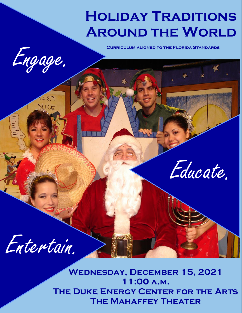# **Holiday Traditions AROUND THE WORLD**



LIST

NICE

Educate.

Entertain.

**Wednesday, December 15, 2021 11:00 a.m. The Duke Energy Center for the Arts The Mahaffey Theater**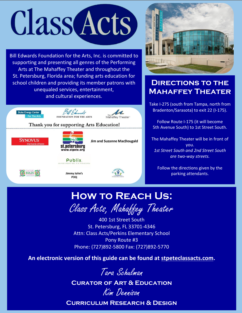# **Class Acts**

Bill Edwards Foundation for the Arts, Inc. is committed to supporting and presenting all genres of the Performing Arts at The Mahaffey Theater and throughout the St. Petersburg, Florida area; funding arts education for school children and providing its member patrons with unequaled services, entertainment, and cultural experiences.





# **DIRECTIONS TO THE Mahaffey Theater**

Take I-275 (south from Tampa, north from Bradenton/Sarasota) to exit 22 (I-175).

Follow Route I-175 (it will become 5th Avenue South) to 1st Street South.

The Mahaffey Theater will be in front of you. *1st Street South and 2nd Street South are two-way streets.*

Follow the directions given by the parking attendants.

# **How to Reach Us:**

Class Acts, Mahaffey Theater

400 1st Street South St. Petersburg, FL 33701-4346 Attn: Class Acts/Perkins Elementary School Pony Route #3 Phone: (727)892-5800 Fax: (727)892-5770

**An electronic version of this guide can be found at [stpeteclassacts.com.](http://stpeteclassacts.com/)**



**Curator of Art & Education**

Kim Dennison **Curriculum Research & Design**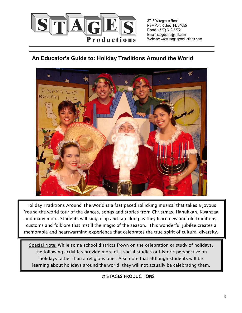

3715 Wiregrass Road New Port Richey, FL 34655 Phone: (727) 312-3272 Email: stagesprd@aol.com Website: www.stagesproductions.com

## **An Educator's Guide to: Holiday Traditions Around the World**



Holiday Traditions Around The World is a fast paced rollicking musical that takes a joyous 'round the world tour of the dances, songs and stories from Christmas, Hanukkah, Kwanzaa and many more. Students will sing, clap and tap along as they learn new and old traditions, customs and folklore that instill the magic of the season. This wonderful jubilee creates a memorable and heartwarming experience that celebrates the true spirit of cultural diversity.

 the following activities provide more of a social studies or historic perspective on learning about holidays around the world; they will not actually be celebrating them.l Special Note: While some school districts frown on the celebration or study of holidays, holidays rather than a religious one. Also note that although students will be

and heart warming experience that celebrates the true spirit of cultural diversity.

© STAGES PRODUCTIONS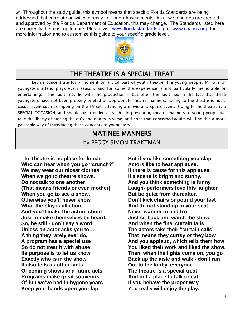$\mathscr N$  Throughout the study guide, this symbol means that specific Florida Standards are being addressed that correlate activities directly to Florida Assessments. As new standards are created and approved by the Florida Department of Education, this may change. The Standards listed here are currently the most up to date. Please visit [www.floridastandards.org,](http://www.floridastandards.org/)or [www.cpalms.org](http://www.cpalms.org/) for more information and to customize this guide to your specific grade level.



# THE THEATRE IS A SPECIAL TREAT

Let us concentrate for a moment on a vital part of youth theatre: the young people. Millions of youngsters attend plays every season, and for some the experience is not particularly memorable or entertaining. The fault may lie with the production - but often the fault lies in the fact that these youngsters have not been properly briefed on appropriate theatre manners. Going to the theatre is not a casual event such as flipping on the TV set, attending a movie or a sports event. Going to the theatre is a SPECIAL OCCASION, and should be attended as such. In presenting theatre manners to young people we take the liberty of putting the do's and don'ts in verse, and hope that concerned adults will find this a more palatable way of introducing these concepts to youngsters.

#### MATINEE MANNERS

by PEGGY SIMON TRAKTMAN

**The theatre is no place for lunch, But if you like something you clap Who can hear when you go "crunch?" Actors like to hear applause. We may wear our nicest clothes If there is cause for this applause. When we go to theatre shows. If a scene is bright and sunny, Do not talk to one another And you think something is funny (That means friends or even mother) Laugh- performers love this laughter** When you go to see a show, **But be quiet from thereafter**. **Otherwise you'll never know Don't kick chairs or pound your feet** What the play is all about **And do not stand up in your seat, And you'll make the actors shout Never wander to and fro - Just to make themselves be heard. Just sit back and watch the show. So, be still - don't say a word And when the final curtain falls Unless an actor asks you to… The actors take their "curtain calls" A thing they rarely ever do. That means they curtsy or they bow It also tells us other facts Out to the lobby, everyone. Of coming shows and future acts. The theatre is a special treat Programs make great souvenirs And not a place to talk or eat. Of fun we've had in bygone years If you behave the proper way Keep your hands upon your lap You really will enjoy the play.**

**A program has a special use And you applaud, which tells them how So do not treat it with abuse! You liked their work and liked the show. Its purpose is to let us know Then, when the lights come on, you go Exactly who is in the show Back up the aisle and walk - don't run**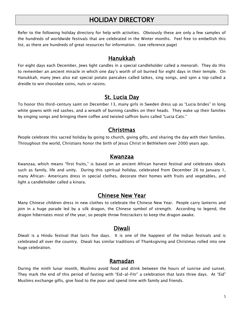# HOLIDAY DIRECTORY

Refer to the following holiday directory for help with activities. Obviously these are only a few samples of the hundreds of worldwide festivals that are celebrated in the Winter months. Feel free to embellish this list, as there are hundreds of great resources for information. (see reference page)

#### Hanukkah

For eight days each December, Jews light candles in a special candleholder called a menorah. They do this to remember an ancient miracle in which one day's worth of oil burned for eight days in their temple. On Hanukkah, many Jews also eat special potato pancakes called latkes, sing songs, and spin a top called a dreidle to win chocolate coins, nuts or raisins.

#### St. Lucia Day

To honor this third-century saint on December 13, many girls in Sweden dress up as "Lucia brides" in long white gowns with red sashes, and a wreath of burning candles on their heads. They wake up their families by singing songs and bringing them coffee and twisted saffron buns called "Lucia Cats."

#### Christmas

People celebrate this sacred holiday by going to church, giving gifts, and sharing the day with their families. Throughout the world, Christians honor the birth of Jesus Christ in Bethlehem over 2000 years ago.

#### Kwanzaa

Kwanzaa, which means "first fruits," is based on an ancient African harvest festival and celebrates ideals such as family, life and unity. During this spiritual holiday, celebrated from December 26 to January 1, many African- Americans dress in special clothes, decorate their homes with fruits and vegetables, and light a candleholder called a kinara.

#### Chinese New Year

Many Chinese children dress in new clothes to celebrate the Chinese New Year. People carry lanterns and join in a huge parade led by a silk dragon, the Chinese symbol of strength. According to legend, the dragon hibernates most of the year, so people throw firecrackers to keep the dragon awake.

#### Diwali

Diwali is a Hindu festival that lasts five days. It is one of the happiest of the Indian festivals and is celebrated all over the country. Diwali has similar traditions of Thanksgiving and Christmas rolled into one huge celebration.

#### Ramadan

During the ninth lunar month, Muslims avoid food and drink between the hours of sunrise and sunset. They mark the end of this period of fasting with "Eid-al-Fitr" a celebration that lasts three days. At "Eid" Muslims exchange gifts, give food to the poor and spend time with family and friends.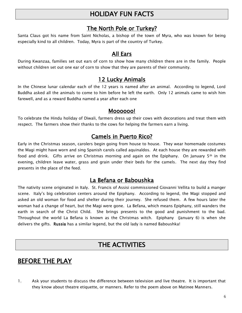# HOLIDAY FUN FACTS

#### The North Pole or Turkey?

Santa Claus got his name from Saint Nicholas, a bishop of the town of Myra, who was known for being especially kind to all children. Today, Myra is part of the country of Turkey.

#### All Ears

During Kwanzaa, families set out ears of corn to show how many children there are in the family. People without children set out one ear of corn to show that they are parents of their community.

#### 12 Lucky Animals

In the Chinese lunar calendar each of the 12 years is named after an animal. According to legend, Lord Buddha asked all the animals to come to him before he left the earth. Only 12 animals came to wish him farewell, and as a reward Buddha named a year after each one

#### Moooooo!

To celebrate the Hindu holiday of Diwali, farmers dress up their cows with decorations and treat them with respect. The farmers show their thanks to the cows for helping the farmers earn a living.

#### Camels in Puerto Rico?

Early in the Christmas season, carolers begin going from house to house. They wear homemade costumes the Magi might have worn and sing Spanish carols called aquinaldos. At each house they are rewarded with food and drink. Gifts arrive on Christmas morning and again on the Epiphany. On January  $5<sup>th</sup>$  in the evening, children leave water, grass and grain under their beds for the camels. The next day they find presents in the place of the feed.

## La Befana or Baboushka

The nativity scene originated in Italy. St. Francis of Assisi commissioned Giovanni Vellita to build a manger scene. Italy's big celebration centers around the Epiphany. According to legend, the Magi stopped and asked an old woman for food and shelter during their journey. She refused them. A few hours later the woman had a change of heart, but the Magi were gone. La Befana, which means Epiphany, still wanders the earth in search of the Christ Child. She brings presents to the good and punishment to the bad. Throughout the world La Befana is known as the Christmas witch. Epiphany (January 6) is when she delivers the gifts. Russia has a similar legend, but the old lady is named Baboushka!

# THE ACTIVITIES

# BEFORE THE PLAY

1. Ask your students to discuss the difference between television and live theatre. It is important that they know about theatre etiquette, or manners. Refer to the poem above on Matinee Manners.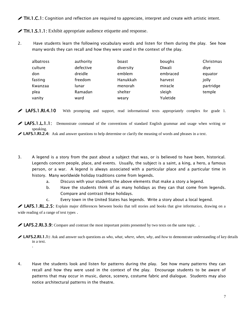**TH.1.C.1:** Cognition and reflection are required to appreciate, interpret and create with artistic intent.

 $\sqrt{T}H.1.S.1.1$ : Exhibit appropriate audience etiquette and response.

2. Have students learn the following vocabulary words and listen for them during the play. See how many words they can recall and how they were used in the context of the play.

| albatross | authority | boast     | boughs   | Christmas |
|-----------|-----------|-----------|----------|-----------|
| culture   | defective | diversity | Diwali   | diye      |
| don       | dreidle   | emblem    | embraced | equator   |
| fasting   | freedom   | Hanukkah  | harvest  | jolly     |
| Kwanzaa   | lunar     | menorah   | miracle  | partridge |
| plea      | Ramadan   | shelter   | sleigh   | temple    |
| vanity    | ward      | weary     | Yuletide |           |

**EXELAFS.1.RI.4.10** With prompting and support, read informational texts appropriately complex for grade 1.

**LAFS.1.L.1.1:** Demonstrate command of the conventions of standard English grammar and usage when writing or speaking.

► LAFS.1.RI.2.4: Ask and answer questions to help determine or clarify the meaning of words and phrases in a text.

- 3. A legend is a story from the past about a subject that was, or is believed to have been, historical. Legends concern people, place, and events. Usually, the subject is a saint, a king, a hero, a famous person, or a war. A legend is always associated with a particular place and a particular time in history. Many worldwide holiday traditions come from legends.
	- a. Discuss with your students the above elements that make a story a legend.
	- b. Have the students think of as many holidays as they can that come from legends. Compare and contrast these holidays.
	- c. Every town in the United States has legends. Write a story about a local legend.

**LAFS.1.RL.2.5:** Explain major differences between books that tell stories and books that give information, drawing on a wide reading of a range of text types .

**LAFS.2.RI.3.9:** Compare and contrast the most important points presented by two texts on the same topic. .

4. Have the students look and listen for patterns during the play. See how many patterns they can recall and how they were used in the context of the play. Encourage students to be aware of patterns that may occur in music, dance, scenery, costume fabric and dialogue. Students may also notice architectural patterns in the theatre.

LAFS.2.RI.1.1:: Ask and answer such questions as *who, what, where, when, why*, and *how* to demonstrate understanding of key details in a text. .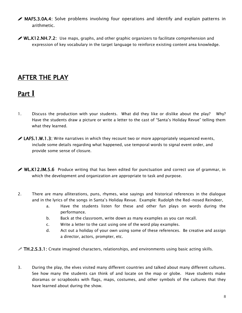- MAFS.3.0A.4: Solve problems involving four operations and identify and explain patterns in arithmetic.
- $\mathscr{P}$  WL.K12.NH.7.2: Use maps, graphs, and other graphic organizers to facilitate comprehension and expression of key vocabulary in the target language to reinforce existing content area knowledge.

# AFTER THE PLAY

# Part **I**

- 1. Discuss the production with your students. What did they like or dislike about the play? Why? Have the students draw a picture or write a letter to the cast of "Santa's Holiday Revue" telling them what they learned.
- $\blacktriangleright$  LAFS.1.W.1.3: Write narratives in which they recount two or more appropriately sequenced events, include some details regarding what happened, use temporal words to signal event order, and provide some sense of closure.
- $\mathscr{P}$  WL.K12.IM.5.6 Produce writing that has been edited for punctuation and correct use of grammar, in which the development and organization are appropriate to task and purpose.
- 2. There are many alliterations, puns, rhymes, wise sayings and historical references in the dialogue and in the lyrics of the songs in Santa's Holiday Revue. Example: Rudolph the Red-nosed Reindeer,
	- a. Have the students listen for these and other fun plays on words during the performance.
	- b. Back at the classroom, write down as many examples as you can recall.
	- c. Write a letter to the cast using one of the word play examples.
	- d. Act out a holiday of your own using some of these references. Be creative and assign a director, actors, prompter, etc.
- $\mathscr X$  TH.2.S.3.1: Create imagined characters, relationships, and environments using basic acting skills.
- 3. During the play, the elves visited many different countries and talked about many different cultures. See how many the students can think of and locate on the map or globe. Have students make dioramas or scrapbooks with flags, maps, costumes, and other symbols of the cultures that they have learned about during the show.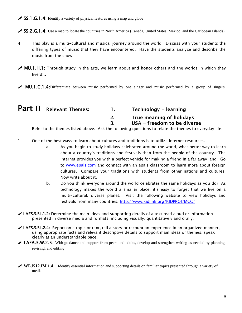$\triangle$  SS.1.G.1.4: Identify a variety of physical features using a map and globe.

SS.2.G.1.4: Use a map to locate the countries in North America (Canada, United States, Mexico, and the Caribbean Islands).

- 4. This play is a multi-cultural and musical journey around the world. Discuss with your students the differing types of music that they have encountered. Have the students analyze and describe the music from the show.
- MU.1.H.1: Through study in the arts, we learn about and honor others and the worlds in which they live(d)..
- **MU.1.C.1.4:**Differentiate between music performed by one singer and music performed by a group of singers.

| <b>Part II</b> Relevant Themes: | $Technology = learning$                                   |
|---------------------------------|-----------------------------------------------------------|
|                                 | True meaning of holidays<br>$USA = freedom to be diverse$ |
|                                 |                                                           |

Refer to the themes listed above. Ask the following questions to relate the themes to everyday life:

- 1. One of the best ways to learn about cultures and traditions is to utilize internet resources.
	- a. As you begin to study holidays celebrated around the world, what better way to learn about a country's traditions and festivals than from the people of the country. The internet provides you with a perfect vehicle for making a friend in a far away land. Go to [www.epals.com](http://www.epals.com/) and connect with an epals classroom to learn more about foreign cultures. Compare your traditions with students from other nations and cultures. Now write about it.
	- b. Do you think everyone around the world celebrates the same holidays as you do? As technology makes the world a smaller place, it's easy to forget that we live on a multi-cultural, diverse planet. Visit the following website to view holidays and festivals from many countries.<http://www.kidlink.org/KIDPROJ/MCC/>
- LAFS.3.SL.1.2: Determine the main ideas and supporting details of a text read aloud or information presented in diverse media and formats, including visually, quantitatively and orally.
- LAFS.3.SL.2.4: Report on a topic or text, tell a story or recount an experience in an organized manner, using appropriate facts and relevant descriptive details to support main ideas or themes; speak clearly at an understandable pace.
- **LAFA.3.W.2.5:** With guidance and support from peers and adults, develop and strengthen writing as needed by planning, revising, and editing
- **WL.K12.IM.1.4** Identify essential information and supporting details on familiar topics presented through a variety of **KIZ.IM**<br>media.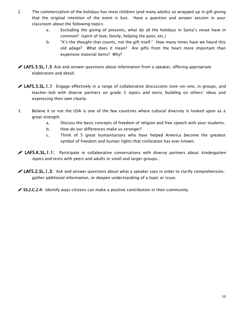- 2. The commercialism of the holidays has most children (and many adults) so wrapped up in gift giving that the original intention of the event is lost. Have a question and answer session in your classroom about the following topics:
	- a. Excluding the giving of presents, what do all the holidays in Santa's revue have in common? (spirit of love, family, helping the poor, etc.)
	- b. "It's the thought that counts, not the gift itself." How many times have we heard this old adage? What does it mean? Are gifts from the heart more important than expensive material items? Why?
- **LAFS.3.SL.1.3** Ask and answer questions about information from a speaker, offering appropriate elaboration and detail.
- **LAFS.3.SL.1.1** Engage effectively in a range of collaborative discussions (one-on-one, in groups, and teacher-led) with diverse partners on grade 3 *topics and texts*, building on others' ideas and expressing their own clearly.
- 3. Believe it or not the USA is one of the few countries where cultural diversity is looked upon as a great strength.
	- a. Discuss the basic concepts of freedom of religion and free speech with your students.
	- b. How do our differences make us stronger?
	- c. Think of 5 great humanitarians who have helped America become the greatest symbol of freedom and human rights that civilization has ever known.
- ◆ LAFS.K.SL.1.1: Participate in collaborative conversations with diverse partners about *kindergarten* topics and texts with peers and adults in small and larger groups..
- $\blacktriangleright$  LAFS.2.SL.1.3: Ask and answer questions about what a speaker says in order to clarify comprehension, gather additional information, or deepen understanding of a topic or issue.

SS.2.C.2.4: Identify ways citizens can make a positive contribution in their community.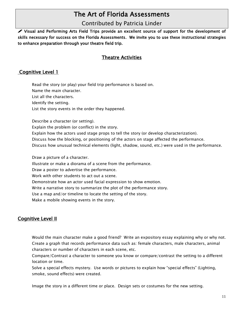# The Art of Florida Assessments

#### Contributed by Patricia Linder

 Visual and Performing Arts Field Trips provide an excellent source of support for the development of skills necessary for success on the Florida Assessments. We invite you to use these instructional strategies to enhance preparation through your theatre field trip.

#### Theatre Activities

#### Cognitive Level 1

Read the story (or play) your field trip performance is based on. Name the main character. List all the characters. Identify the setting. List the story events in the order they happened.

Describe a character (or setting). Explain the problem (or conflict) in the story. Explain how the actors used stage props to tell the story (or develop characterization). Discuss how the blocking, or positioning of the actors on stage affected the performance. Discuss how unusual technical elements (light, shadow, sound, etc.) were used in the performance. Draw a picture of a character. Illustrate or make a diorama of a scene from the performance. Draw a poster to advertise the performance. Work with other students to act out a scene.

Demonstrate how an actor used facial expression to show emotion.

Write a narrative story to summarize the plot of the performance story.

Use a map and/or timeline to locate the setting of the story.

Make a mobile showing events in the story.

#### **Cognitive Level II**

Would the main character make a good friend? Write an expository essay explaining why or why not. Create a graph that records performance data such as: female characters, male characters, animal characters or number of characters in each scene, etc.

Compare/Contrast a character to someone you know or compare/contrast the setting to a different location or time.

Solve a special effects mystery. Use words or pictures to explain how "special effects" (Lighting, smoke, sound effects) were created.

Image the story in a different time or place. Design sets or costumes for the new setting.